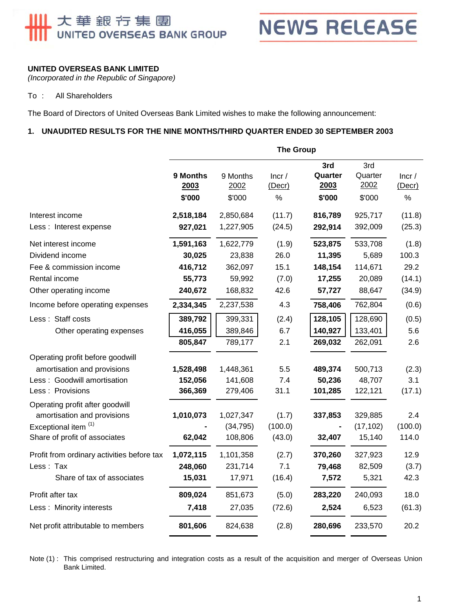# 大華銀行集團<br>UNITED OVERSEAS BANK GROUP



#### **UNITED OVERSEAS BANK LIMITED**

*(Incorporated in the Republic of Singapore)* 

#### To : All Shareholders

The Board of Directors of United Overseas Bank Limited wishes to make the following announcement:

#### **1. UNAUDITED RESULTS FOR THE NINE MONTHS/THIRD QUARTER ENDED 30 SEPTEMBER 2003**

|                                                                | <b>The Group</b>           |                            |                               |                                  |                                  |                         |  |
|----------------------------------------------------------------|----------------------------|----------------------------|-------------------------------|----------------------------------|----------------------------------|-------------------------|--|
|                                                                | 9 Months<br>2003<br>\$'000 | 9 Months<br>2002<br>\$'000 | Incr/<br>$($ Decr $)$<br>$\%$ | 3rd<br>Quarter<br>2003<br>\$'000 | 3rd<br>Quarter<br>2002<br>\$'000 | Incr/<br>(Decr)<br>$\%$ |  |
| Interest income                                                | 2,518,184                  | 2,850,684                  | (11.7)                        | 816,789                          | 925,717                          | (11.8)                  |  |
| Less : Interest expense                                        | 927,021                    | 1,227,905                  | (24.5)                        | 292,914                          | 392,009                          | (25.3)                  |  |
| Net interest income                                            | 1,591,163                  | 1,622,779                  | (1.9)                         | 523,875                          | 533,708                          | (1.8)                   |  |
| Dividend income                                                | 30,025                     | 23,838                     | 26.0                          | 11,395                           | 5,689                            | 100.3                   |  |
| Fee & commission income                                        | 416,712                    | 362,097                    | 15.1                          | 148,154                          | 114,671                          | 29.2                    |  |
| Rental income                                                  | 55,773                     | 59,992                     | (7.0)                         | 17,255                           | 20,089                           | (14.1)                  |  |
| Other operating income                                         | 240,672                    | 168,832                    | 42.6                          | 57,727                           | 88,647                           | (34.9)                  |  |
| Income before operating expenses                               | 2,334,345                  | 2,237,538                  | 4.3                           | 758,406                          | 762,804                          | (0.6)                   |  |
| Less: Staff costs                                              | 389,792                    | 399,331                    | (2.4)                         | 128,105                          | 128,690                          | (0.5)                   |  |
| Other operating expenses                                       | 416,055                    | 389,846                    | 6.7                           | 140,927                          | 133,401                          | 5.6                     |  |
|                                                                | 805,847                    | 789,177                    | 2.1                           | 269,032                          | 262,091                          | 2.6                     |  |
| Operating profit before goodwill                               |                            |                            |                               |                                  |                                  |                         |  |
| amortisation and provisions                                    | 1,528,498                  | 1,448,361                  | 5.5                           | 489,374                          | 500,713                          | (2.3)                   |  |
| Less: Goodwill amortisation                                    | 152,056                    | 141,608                    | 7.4                           | 50,236                           | 48,707                           | 3.1                     |  |
| Less : Provisions                                              | 366,369                    | 279,406                    | 31.1                          | 101,285                          | 122,121                          | (17.1)                  |  |
| Operating profit after goodwill<br>amortisation and provisions | 1,010,073                  | 1,027,347                  | (1.7)                         | 337,853                          | 329,885                          | 2.4                     |  |
| Exceptional item (1)                                           |                            | (34, 795)                  | (100.0)                       |                                  | (17, 102)                        | (100.0)                 |  |
| Share of profit of associates                                  | 62,042                     | 108,806                    | (43.0)                        | 32,407                           | 15,140                           | 114.0                   |  |
| Profit from ordinary activities before tax                     | 1,072,115                  | 1,101,358                  | (2.7)                         | 370,260                          | 327,923                          | 12.9                    |  |
| Less: Tax                                                      | 248,060                    | 231,714                    | 7.1                           | 79,468                           | 82,509                           | (3.7)                   |  |
| Share of tax of associates                                     | 15,031                     | 17,971                     | (16.4)                        | 7,572                            | 5,321                            | 42.3                    |  |
| Profit after tax                                               | 809,024                    | 851,673                    | (5.0)                         | 283,220                          | 240,093                          | 18.0                    |  |
| Less: Minority interests                                       | 7,418                      | 27,035                     | (72.6)                        | 2,524                            | 6,523                            | (61.3)                  |  |
| Net profit attributable to members                             | 801,606                    | 824,638                    | (2.8)                         | 280,696                          | 233,570                          | 20.2                    |  |
|                                                                |                            |                            |                               |                                  |                                  |                         |  |

Note (1) : This comprised restructuring and integration costs as a result of the acquisition and merger of Overseas Union Bank Limited.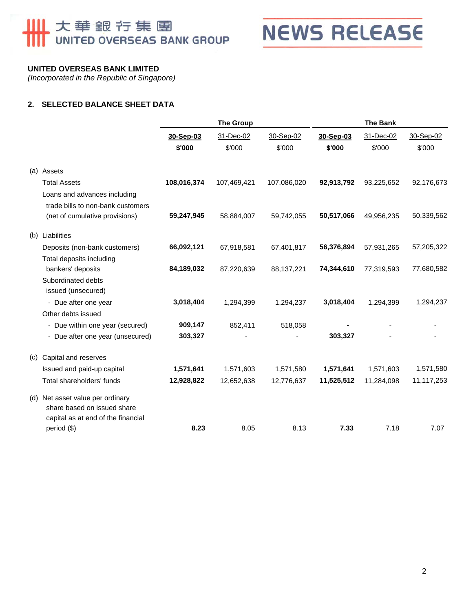# **Ⅲ 大華銀行集團**



### **UNITED OVERSEAS BANK LIMITED**

*(Incorporated in the Republic of Singapore)* 

### **2. SELECTED BALANCE SHEET DATA**

|     |                                                                                                       | <b>The Group</b> |             |             | <b>The Bank</b> |            |            |  |
|-----|-------------------------------------------------------------------------------------------------------|------------------|-------------|-------------|-----------------|------------|------------|--|
|     |                                                                                                       | 30-Sep-03        | 31-Dec-02   | 30-Sep-02   | 30-Sep-03       | 31-Dec-02  | 30-Sep-02  |  |
|     |                                                                                                       | \$'000           | \$'000      | \$'000      | \$'000          | \$'000     | \$'000     |  |
|     | (a) Assets                                                                                            |                  |             |             |                 |            |            |  |
|     | <b>Total Assets</b>                                                                                   | 108,016,374      | 107,469,421 | 107,086,020 | 92,913,792      | 93,225,652 | 92,176,673 |  |
|     | Loans and advances including                                                                          |                  |             |             |                 |            |            |  |
|     | trade bills to non-bank customers                                                                     |                  |             |             |                 |            |            |  |
|     | (net of cumulative provisions)                                                                        | 59,247,945       | 58,884,007  | 59,742,055  | 50,517,066      | 49,956,235 | 50,339,562 |  |
| (b) | Liabilities                                                                                           |                  |             |             |                 |            |            |  |
|     | Deposits (non-bank customers)                                                                         | 66,092,121       | 67,918,581  | 67,401,817  | 56,376,894      | 57,931,265 | 57,205,322 |  |
|     | Total deposits including                                                                              |                  |             |             |                 |            |            |  |
|     | bankers' deposits                                                                                     | 84,189,032       | 87,220,639  | 88,137,221  | 74,344,610      | 77,319,593 | 77,680,582 |  |
|     | Subordinated debts<br>issued (unsecured)                                                              |                  |             |             |                 |            |            |  |
|     | - Due after one year                                                                                  | 3,018,404        | 1,294,399   | 1,294,237   | 3,018,404       | 1,294,399  | 1,294,237  |  |
|     | Other debts issued                                                                                    |                  |             |             |                 |            |            |  |
|     | - Due within one year (secured)                                                                       | 909,147          | 852,411     | 518,058     |                 |            |            |  |
|     | - Due after one year (unsecured)                                                                      | 303,327          |             |             | 303,327         |            |            |  |
| (C) | Capital and reserves                                                                                  |                  |             |             |                 |            |            |  |
|     | Issued and paid-up capital                                                                            | 1,571,641        | 1,571,603   | 1,571,580   | 1,571,641       | 1,571,603  | 1,571,580  |  |
|     | Total shareholders' funds                                                                             | 12,928,822       | 12,652,638  | 12,776,637  | 11,525,512      | 11,284,098 | 11,117,253 |  |
|     | (d) Net asset value per ordinary<br>share based on issued share<br>capital as at end of the financial |                  |             |             |                 |            |            |  |
|     | period (\$)                                                                                           | 8.23             | 8.05        | 8.13        | 7.33            | 7.18       | 7.07       |  |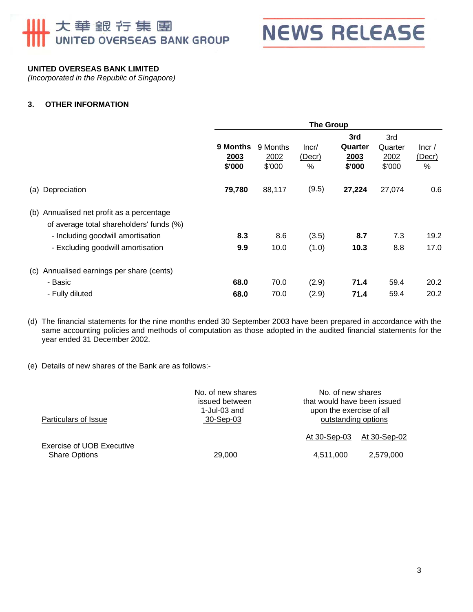## 大華銀行集團 UNITED OVERSEAS BANK GROUP



#### **UNITED OVERSEAS BANK LIMITED**

*(Incorporated in the Republic of Singapore)* 

#### **3. OTHER INFORMATION**

|                                                                                                                            | <b>The Group</b>                  |                            |                      |                                  |                                  |                      |
|----------------------------------------------------------------------------------------------------------------------------|-----------------------------------|----------------------------|----------------------|----------------------------------|----------------------------------|----------------------|
|                                                                                                                            | <b>9 Months</b><br>2003<br>\$'000 | 9 Months<br>2002<br>\$'000 | Incr/<br>(Decr)<br>% | 3rd<br>Quarter<br>2003<br>\$'000 | 3rd<br>Quarter<br>2002<br>\$'000 | lncr/<br>(Decr)<br>% |
| (a) Depreciation                                                                                                           | 79,780                            | 88,117                     | (9.5)                | 27,224                           | 27,074                           | 0.6                  |
| (b) Annualised net profit as a percentage<br>of average total shareholders' funds (%)<br>- Including goodwill amortisation | 8.3                               | 8.6                        | (3.5)                | 8.7                              | 7.3                              | 19.2<br>17.0         |
| (c) Annualised earnings per share (cents)<br>- Basic<br>- Fully diluted                                                    | 68.0<br>68.0                      | 70.0<br>70.0               | (2.9)<br>(2.9)       | 71.4<br>71.4                     | 59.4<br>59.4                     | 20.2<br>20.2         |
|                                                                                                                            | - Excluding goodwill amortisation | 9.9                        | 10.0                 | (1.0)                            | 10.3                             | 8.8                  |

(d) The financial statements for the nine months ended 30 September 2003 have been prepared in accordance with the same accounting policies and methods of computation as those adopted in the audited financial statements for the year ended 31 December 2002.

(e) Details of new shares of the Bank are as follows:-

| Particulars of Issue      | No. of new shares<br>issued between<br>1-Jul-03 and<br>30-Sep-03 | No. of new shares<br>that would have been issued<br>upon the exercise of all<br>outstanding options |              |
|---------------------------|------------------------------------------------------------------|-----------------------------------------------------------------------------------------------------|--------------|
| Exercise of UOB Executive |                                                                  | At 30-Sep-03                                                                                        | At 30-Sep-02 |
| <b>Share Options</b>      | 29,000                                                           | 4,511,000                                                                                           | 2,579,000    |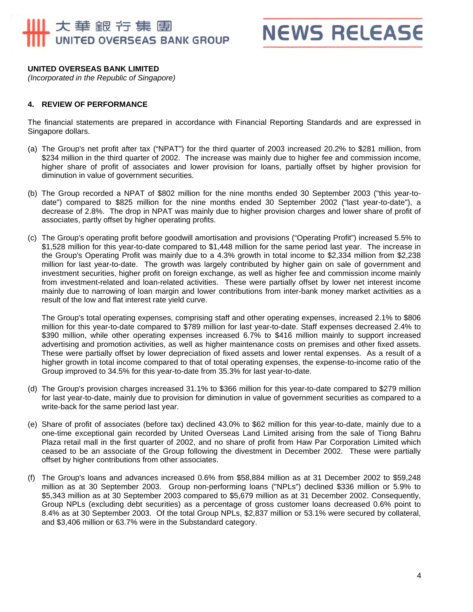## 大華銀行集團 UNITED OVERSEAS BANK GROUP

**NEWS RELEASE** 

#### **UNITED OVERSEAS BANK LIMITED**

*(Incorporated in the Republic of Singapore)* 

#### **4. REVIEW OF PERFORMANCE**

The financial statements are prepared in accordance with Financial Reporting Standards and are expressed in Singapore dollars.

- (a) The Group's net profit after tax ("NPAT") for the third quarter of 2003 increased 20.2% to \$281 million, from \$234 million in the third quarter of 2002. The increase was mainly due to higher fee and commission income, higher share of profit of associates and lower provision for loans, partially offset by higher provision for diminution in value of government securities.
- (b) The Group recorded a NPAT of \$802 million for the nine months ended 30 September 2003 ("this year-todate") compared to \$825 million for the nine months ended 30 September 2002 ("last year-to-date"), a decrease of 2.8%. The drop in NPAT was mainly due to higher provision charges and lower share of profit of associates, partly offset by higher operating profits.
- (c) The Group's operating profit before goodwill amortisation and provisions ("Operating Profit") increased 5.5% to \$1,528 million for this year-to-date compared to \$1,448 million for the same period last year. The increase in the Group's Operating Profit was mainly due to a 4.3% growth in total income to \$2,334 million from \$2,238 million for last year-to-date. The growth was largely contributed by higher gain on sale of government and investment securities, higher profit on foreign exchange, as well as higher fee and commission income mainly from investment-related and loan-related activities. These were partially offset by lower net interest income mainly due to narrowing of loan margin and lower contributions from inter-bank money market activities as a result of the low and flat interest rate yield curve.

The Group's total operating expenses, comprising staff and other operating expenses, increased 2.1% to \$806 million for this year-to-date compared to \$789 million for last year-to-date. Staff expenses decreased 2.4% to \$390 million, while other operating expenses increased 6.7% to \$416 million mainly to support increased advertising and promotion activities, as well as higher maintenance costs on premises and other fixed assets. These were partially offset by lower depreciation of fixed assets and lower rental expenses. As a result of a higher growth in total income compared to that of total operating expenses, the expense-to-income ratio of the Group improved to 34.5% for this year-to-date from 35.3% for last year-to-date.

- (d) The Group's provision charges increased 31.1% to \$366 million for this year-to-date compared to \$279 million for last year-to-date, mainly due to provision for diminution in value of government securities as compared to a write-back for the same period last year.
- (e) Share of profit of associates (before tax) declined 43.0% to \$62 million for this year-to-date, mainly due to a one-time exceptional gain recorded by United Overseas Land Limited arising from the sale of Tiong Bahru Plaza retail mall in the first quarter of 2002, and no share of profit from Haw Par Corporation Limited which ceased to be an associate of the Group following the divestment in December 2002. These were partially offset by higher contributions from other associates.
- (f) The Group's loans and advances increased 0.6% from \$58,884 million as at 31 December 2002 to \$59,248 million as at 30 September 2003. Group non-performing loans ("NPLs") declined \$336 million or 5.9% to \$5,343 million as at 30 September 2003 compared to \$5,679 million as at 31 December 2002. Consequently, Group NPLs (excluding debt securities) as a percentage of gross customer loans decreased 0.6% point to 8.4% as at 30 September 2003. Of the total Group NPLs, \$2,837 million or 53.1% were secured by collateral, and \$3,406 million or 63.7% were in the Substandard category.